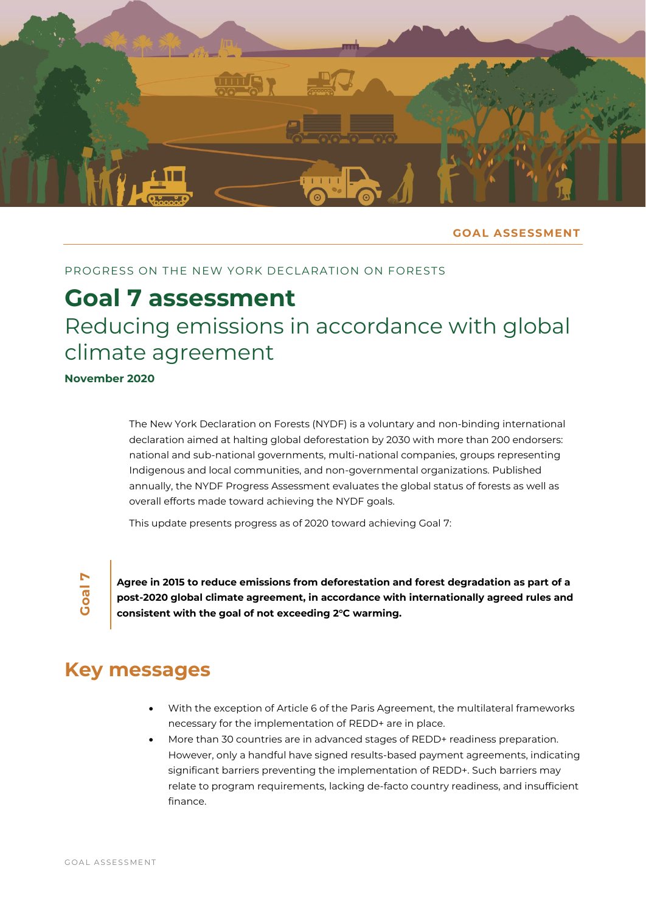

## **GOAL ASSESSMENT**

# PROGRESS ON THE NEW YORK DECLARATION ON FORESTS

# **Goal 7 assessment** Reducing emissions in accordance with global climate agreement

**November 2020**

The New York Declaration on Forests (NYDF) is a voluntary and non-binding international declaration aimed at halting global deforestation by 2030 with more than 200 endorsers: national and sub-national governments, multi-national companies, groups representing Indigenous and local communities, and non-governmental organizations. Published annually, the NYDF Progress Assessment evaluates the global status of forests as well as overall efforts made toward achieving the NYDF goals.

This update presents progress as of 2020 toward achieving Goal 7:

**Goal 7**

**Agree in 2015 to reduce emissions from deforestation and forest degradation as part of a post-2020 global climate agreement, in accordance with internationally agreed rules and consistent with the goal of not exceeding 2°C warming.**

# **Key messages**

- With the exception of Article 6 of the Paris Agreement, the multilateral frameworks necessary for the implementation of REDD+ are in place.
- More than 30 countries are in advanced stages of REDD+ readiness preparation. However, only a handful have signed results-based payment agreements, indicating significant barriers preventing the implementation of REDD+. Such barriers may relate to program requirements, lacking de-facto country readiness, and insufficient finance.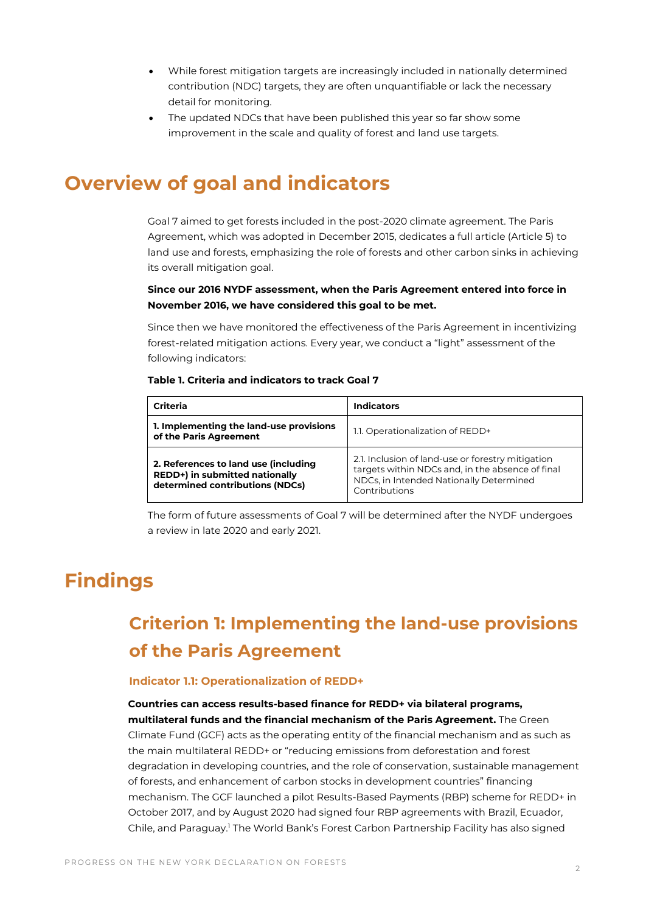- While forest mitigation targets are increasingly included in nationally determined contribution (NDC) targets, they are often unquantifiable or lack the necessary detail for monitoring.
- The updated NDCs that have been published this year so far show some improvement in the scale and quality of forest and land use targets.

# **Overview of goal and indicators**

Goal 7 aimed to get forests included in the post-2020 climate agreement. The Paris Agreement, which was adopted in December 2015, dedicates a full article (Article 5) to land use and forests, emphasizing the role of forests and other carbon sinks in achieving its overall mitigation goal.

## **Since our 2016 NYDF assessment, when the Paris Agreement entered into force in November 2016, we have considered this goal to be met.**

Since then we have monitored the effectiveness of the Paris Agreement in incentivizing forest-related mitigation actions. Every year, we conduct a "light" assessment of the following indicators:

### **Table 1. Criteria and indicators to track Goal 7**

| Criteria                                                                                                  | <b>Indicators</b>                                                                                                                                                 |
|-----------------------------------------------------------------------------------------------------------|-------------------------------------------------------------------------------------------------------------------------------------------------------------------|
| 1. Implementing the land-use provisions<br>of the Paris Agreement                                         | 1.1. Operationalization of REDD+                                                                                                                                  |
| 2. References to land use (including<br>REDD+) in submitted nationally<br>determined contributions (NDCs) | 2.1. Inclusion of land-use or forestry mitigation<br>targets within NDCs and, in the absence of final<br>NDCs, in Intended Nationally Determined<br>Contributions |

The form of future assessments of Goal 7 will be determined after the NYDF undergoes a review in late 2020 and early 2021.

# **Findings**

# **Criterion 1: Implementing the land-use provisions of the Paris Agreement**

### **Indicator 1.1: Operationalization of REDD+**

**Countries can access results-based finance for REDD+ via bilateral programs, multilateral funds and the financial mechanism of the Paris Agreement.** The Green Climate Fund (GCF) acts as the operating entity of the financial mechanism and as such as the main multilateral REDD+ or "reducing emissions from deforestation and forest degradation in developing countries, and the role of conservation, sustainable management of forests, and enhancement of carbon stocks in development countries" financing mechanism. The GCF launched a pilot Results-Based Payments (RBP) scheme for REDD+ in October 2017, and by August 2020 had signed four RBP agreements with Brazil, Ecuador, Chile, and Paraguay.<sup>1</sup> The World Bank's Forest Carbon Partnership Facility has also signed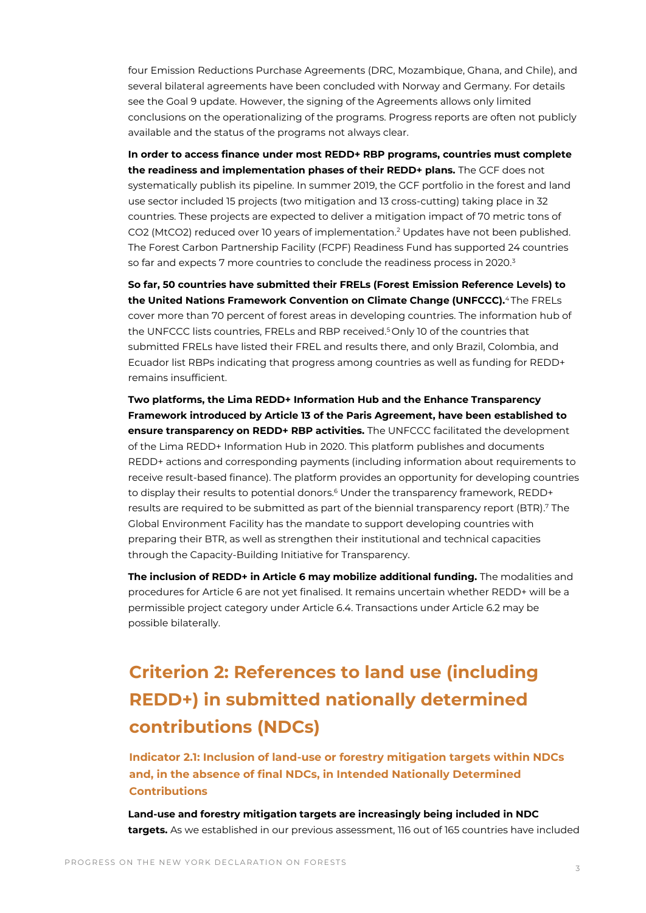four Emission Reductions Purchase Agreements (DRC, Mozambique, Ghana, and Chile), and several bilateral agreements have been concluded with Norway and Germany. For details see the Goal 9 update. However, the signing of the Agreements allows only limited conclusions on the operationalizing of the programs. Progress reports are often not publicly available and the status of the programs not always clear.

**In order to access finance under most REDD+ RBP programs, countries must complete the readiness and implementation phases of their REDD+ plans.** The GCF does not systematically publish its pipeline. In summer 2019, the GCF portfolio in the forest and land use sector included 15 projects (two mitigation and 13 cross-cutting) taking place in 32 countries. These projects are expected to deliver a mitigation impact of 70 metric tons of CO2 (MtCO2) reduced over 10 years of implementation.<sup>2</sup> Updates have not been published. The Forest Carbon Partnership Facility (FCPF) Readiness Fund has supported 24 countries so far and expects 7 more countries to conclude the readiness process in 2020.<sup>3</sup>

**So far, 50 countries have submitted their FRELs (Forest Emission Reference Levels) to the United Nations Framework Convention on Climate Change (UNFCCC).**<sup>4</sup> The FRELs cover more than 70 percent of forest areas in developing countries. The information hub of the UNFCCC lists countries, FRELs and RBP received.<sup>5</sup> Only 10 of the countries that submitted FRELs have listed their FREL and results there, and only Brazil, Colombia, and Ecuador list RBPs indicating that progress among countries as well as funding for REDD+ remains insufficient.

**Two platforms, the Lima REDD+ Information Hub and the Enhance Transparency Framework introduced by Article 13 of the Paris Agreement, have been established to ensure transparency on REDD+ RBP activities.** The UNFCCC facilitated the development of the Lima REDD+ Information Hub in 2020. This platform publishes and documents REDD+ actions and corresponding payments (including information about requirements to receive result-based finance). The platform provides an opportunity for developing countries to display their results to potential donors.<sup>6</sup> Under the transparency framework, REDD+ results are required to be submitted as part of the biennial transparency report (BTR). <sup>7</sup> The Global Environment Facility has the mandate to support developing countries with preparing their BTR, as well as strengthen their institutional and technical capacities through the Capacity-Building Initiative for Transparency.

**The inclusion of REDD+ in Article 6 may mobilize additional funding.** The modalities and procedures for Article 6 are not yet finalised. It remains uncertain whether REDD+ will be a permissible project category under Article 6.4. Transactions under Article 6.2 may be possible bilaterally.

# **Criterion 2: References to land use (including REDD+) in submitted nationally determined contributions (NDCs)**

**Indicator 2.1: Inclusion of land-use or forestry mitigation targets within NDCs and, in the absence of final NDCs, in Intended Nationally Determined Contributions**

**Land-use and forestry mitigation targets are increasingly being included in NDC targets.** As we established in our previous assessment, 116 out of 165 countries have included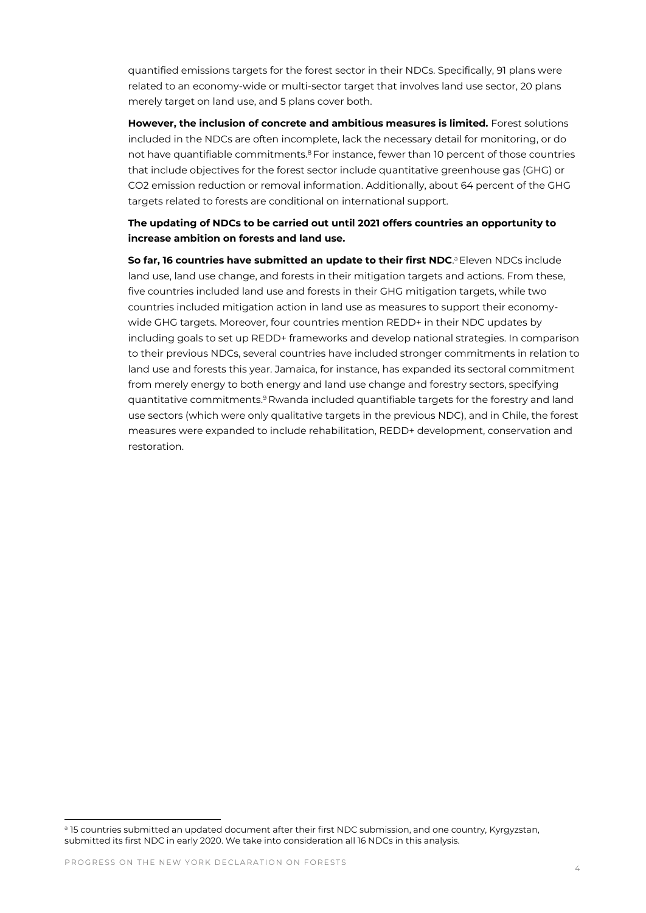quantified emissions targets for the forest sector in their NDCs. Specifically, 91 plans were related to an economy-wide or multi-sector target that involves land use sector, 20 plans merely target on land use, and 5 plans cover both.

**However, the inclusion of concrete and ambitious measures is limited.** Forest solutions included in the NDCs are often incomplete, lack the necessary detail for monitoring, or do not have quantifiable commitments.<sup>8</sup> For instance, fewer than 10 percent of those countries that include objectives for the forest sector include quantitative greenhouse gas (GHG) or CO2 emission reduction or removal information. Additionally, about 64 percent of the GHG targets related to forests are conditional on international support.

## **The updating of NDCs to be carried out until 2021 offers countries an opportunity to increase ambition on forests and land use.**

**So far, 16 countries have submitted an update to their first NDC.<sup>a</sup> Eleven NDCs include** land use, land use change, and forests in their mitigation targets and actions. From these, five countries included land use and forests in their GHG mitigation targets, while two countries included mitigation action in land use as measures to support their economywide GHG targets. Moreover, four countries mention REDD+ in their NDC updates by including goals to set up REDD+ frameworks and develop national strategies. In comparison to their previous NDCs, several countries have included stronger commitments in relation to land use and forests this year. Jamaica, for instance, has expanded its sectoral commitment from merely energy to both energy and land use change and forestry sectors, specifying quantitative commitments.<sup>9</sup> Rwanda included quantifiable targets for the forestry and land use sectors (which were only qualitative targets in the previous NDC), and in Chile, the forest measures were expanded to include rehabilitation, REDD+ development, conservation and restoration.

<sup>&</sup>lt;sup>a</sup> 15 countries submitted an updated document after their first NDC submission, and one country, Kyrgyzstan, submitted its first NDC in early 2020. We take into consideration all 16 NDCs in this analysis.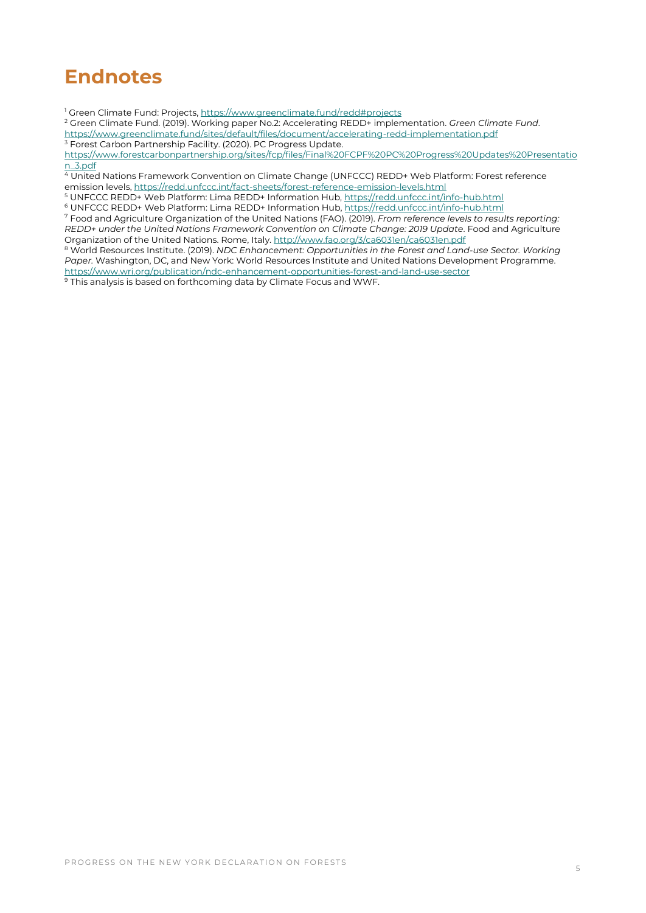# **Endnotes**

<sup>1</sup> Green Climate Fund: Projects[, https://www.greenclimate.fund/redd#projects](https://www.greenclimate.fund/redd#projects)

<sup>2</sup> Green Climate Fund. (2019). Working paper No.2: Accelerating REDD+ implementation. *Green Climate Fund*. <https://www.greenclimate.fund/sites/default/files/document/accelerating-redd-implementation.pdf> <sup>3</sup> Forest Carbon Partnership Facility. (2020). PC Progress Update.

[https://www.forestcarbonpartnership.org/sites/fcp/files/Final%20FCPF%20PC%20Progress%20Updates%20Presentatio](https://www.forestcarbonpartnership.org/sites/fcp/files/Final%20FCPF%20PC%20Progress%20Updates%20Presentation_3.pdf) [n\\_3.pdf](https://www.forestcarbonpartnership.org/sites/fcp/files/Final%20FCPF%20PC%20Progress%20Updates%20Presentation_3.pdf) 

<sup>4</sup> United Nations Framework Convention on Climate Change (UNFCCC) REDD+ Web Platform: Forest reference emission levels[, https://redd.unfccc.int/fact-sheets/forest-reference-emission-levels.html](https://redd.unfccc.int/fact-sheets/forest-reference-emission-levels.html)

<sup>5</sup> UNFCCC REDD+ Web Platform: Lima REDD+ Information Hub[, https://redd.unfccc.int/info-hub.html](https://redd.unfccc.int/info-hub.html)

<sup>6</sup> UNFCCC REDD+ Web Platform: Lima REDD+ Information Hub[, https://redd.unfccc.int/info-hub.html](https://redd.unfccc.int/info-hub.html)

<sup>7</sup> Food and Agriculture Organization of the United Nations (FAO). (2019). *From reference levels to results reporting: REDD+ under the United Nations Framework Convention on Climate Change: 2019 Update*. Food and Agriculture Organization of the United Nations. Rome, Italy[. http://www.fao.org/3/ca6031en/ca6031en.pdf](http://www.fao.org/3/ca6031en/ca6031en.pdf)

<sup>8</sup> World Resources Institute. (2019). *NDC Enhancement: Opportunities in the Forest and Land-use Sector. Working Paper.* Washington, DC, and New York: World Resources Institute and United Nations Development Programme. <https://www.wri.org/publication/ndc-enhancement-opportunities-forest-and-land-use-sector>

<sup>9</sup> This analysis is based on forthcoming data by Climate Focus and WWF.